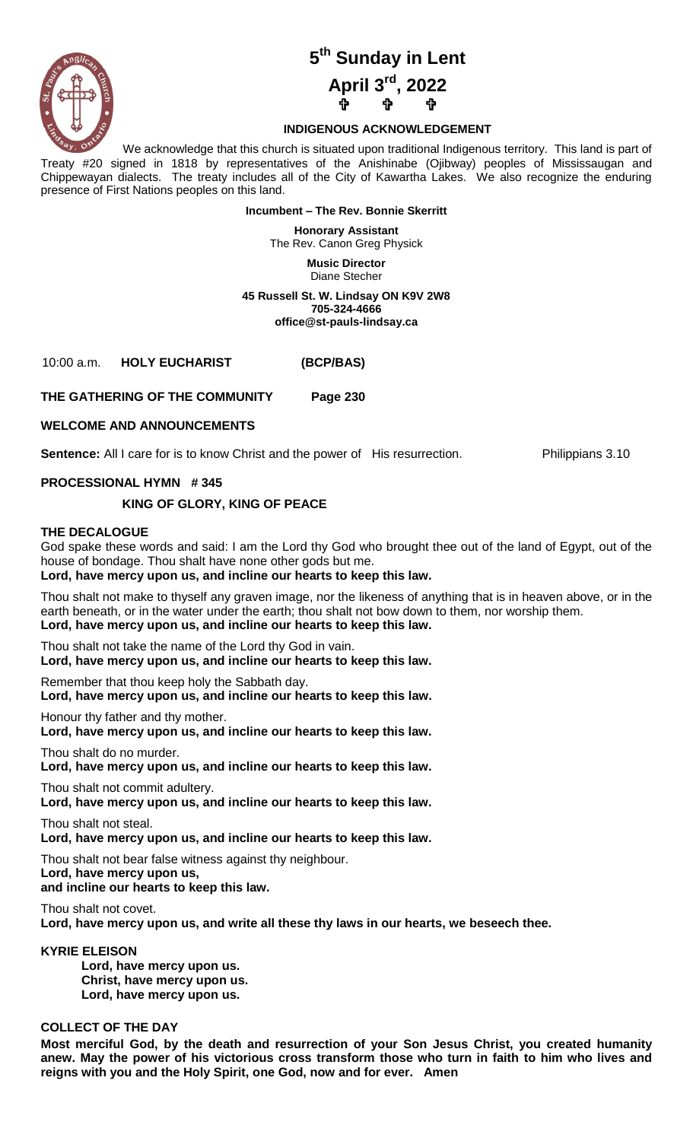

# **5 th Sunday in Lent April 3rd , 2022 ታ \$ \$**

# **INDIGENOUS ACKNOWLEDGEMENT**

We acknowledge that this church is situated upon traditional Indigenous territory. This land is part of Treaty #20 signed in 1818 by representatives of the Anishinabe (Ojibway) peoples of Mississaugan and Chippewayan dialects. The treaty includes all of the City of Kawartha Lakes. We also recognize the enduring presence of First Nations peoples on this land.

#### **Incumbent – The Rev. Bonnie Skerritt**

**Honorary Assistant**  The Rev. Canon Greg Physick

> **Music Director** Diane Stecher

#### **45 Russell St. W. Lindsay ON K9V 2W8 705-324-4666**

**office@st-pauls-lindsay.ca**

10:00 a.m. **HOLY EUCHARIST (BCP/BAS)** 

**THE GATHERING OF THE COMMUNITY Page 230**

### **WELCOME AND ANNOUNCEMENTS**

**Sentence:** All I care for is to know Christ and the power of His resurrection. Philippians 3.10

**PROCESSIONAL HYMN # 345**

# **KING OF GLORY, KING OF PEACE**

#### **THE DECALOGUE**

God spake these words and said: I am the Lord thy God who brought thee out of the land of Egypt, out of the house of bondage. Thou shalt have none other gods but me.

#### **Lord, have mercy upon us, and incline our hearts to keep this law.**

Thou shalt not make to thyself any graven image, nor the likeness of anything that is in heaven above, or in the earth beneath, or in the water under the earth; thou shalt not bow down to them, nor worship them. **Lord, have mercy upon us, and incline our hearts to keep this law.**

Thou shalt not take the name of the Lord thy God in vain. **Lord, have mercy upon us, and incline our hearts to keep this law.**

Remember that thou keep holy the Sabbath day. **Lord, have mercy upon us, and incline our hearts to keep this law.**

Honour thy father and thy mother.

**Lord, have mercy upon us, and incline our hearts to keep this law.**

Thou shalt do no murder.

**Lord, have mercy upon us, and incline our hearts to keep this law.**

Thou shalt not commit adultery.

**Lord, have mercy upon us, and incline our hearts to keep this law.**

Thou shalt not steal.

**Lord, have mercy upon us, and incline our hearts to keep this law.**

Thou shalt not bear false witness against thy neighbour.

**Lord, have mercy upon us,**

**and incline our hearts to keep this law.**

Thou shalt not covet. **Lord, have mercy upon us, and write all these thy laws in our hearts, we beseech thee.**

# **KYRIE ELEISON**

**Lord, have mercy upon us. Christ, have mercy upon us. Lord, have mercy upon us.**

# **COLLECT OF THE DAY**

**Most merciful God, by the death and resurrection of your Son Jesus Christ, you created humanity anew. May the power of his victorious cross transform those who turn in faith to him who lives and reigns with you and the Holy Spirit, one God, now and for ever. Amen**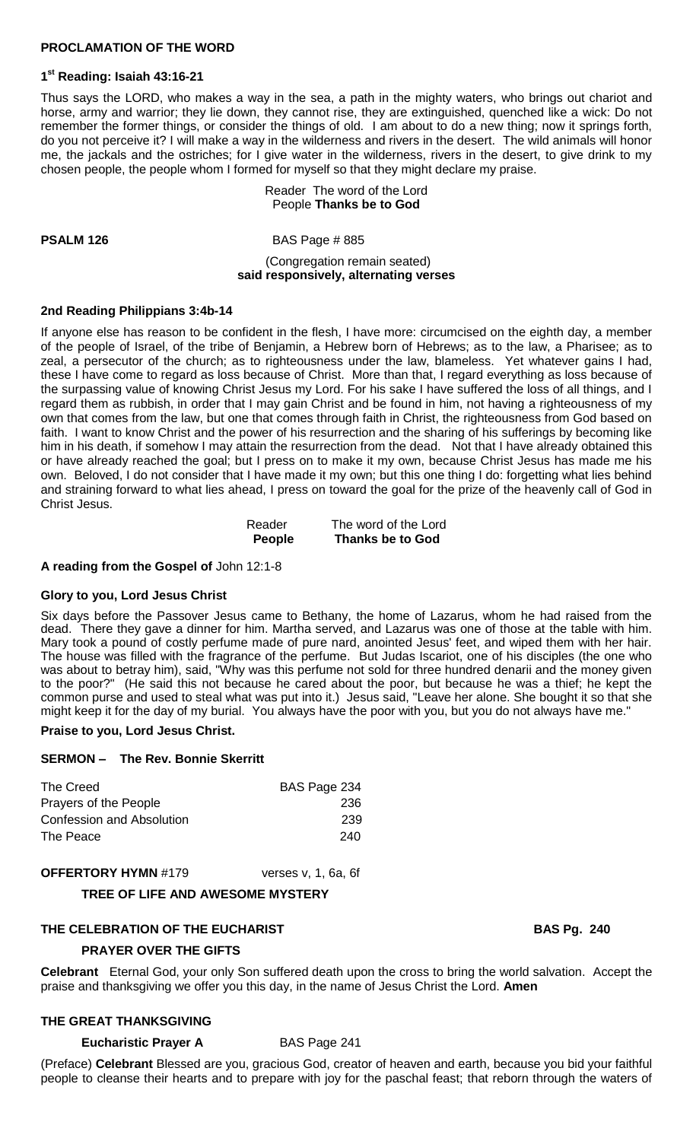#### **PROCLAMATION OF THE WORD**

#### **1 st Reading: Isaiah 43:16-21**

Thus says the LORD, who makes a way in the sea, a path in the mighty waters, who brings out chariot and horse, army and warrior; they lie down, they cannot rise, they are extinguished, quenched like a wick: Do not remember the former things, or consider the things of old. I am about to do a new thing; now it springs forth, do you not perceive it? I will make a way in the wilderness and rivers in the desert. The wild animals will honor me, the jackals and the ostriches; for I give water in the wilderness, rivers in the desert, to give drink to my chosen people, the people whom I formed for myself so that they might declare my praise.

> Reader The word of the Lord People **Thanks be to God**

**PSALM 126 BAS Page # 885** 

# (Congregation remain seated) **said responsively, alternating verses**

#### **2nd Reading Philippians 3:4b-14**

If anyone else has reason to be confident in the flesh, I have more: circumcised on the eighth day, a member of the people of Israel, of the tribe of Benjamin, a Hebrew born of Hebrews; as to the law, a Pharisee; as to zeal, a persecutor of the church; as to righteousness under the law, blameless. Yet whatever gains I had, these I have come to regard as loss because of Christ. More than that, I regard everything as loss because of the surpassing value of knowing Christ Jesus my Lord. For his sake I have suffered the loss of all things, and I regard them as rubbish, in order that I may gain Christ and be found in him, not having a righteousness of my own that comes from the law, but one that comes through faith in Christ, the righteousness from God based on faith. I want to know Christ and the power of his resurrection and the sharing of his sufferings by becoming like him in his death, if somehow I may attain the resurrection from the dead. Not that I have already obtained this or have already reached the goal; but I press on to make it my own, because Christ Jesus has made me his own. Beloved, I do not consider that I have made it my own; but this one thing I do: forgetting what lies behind and straining forward to what lies ahead, I press on toward the goal for the prize of the heavenly call of God in Christ Jesus.

| Reader        | The word of the Lord    |
|---------------|-------------------------|
| <b>People</b> | <b>Thanks be to God</b> |

#### **A reading from the Gospel of** John 12:1-8

#### **Glory to you, Lord Jesus Christ**

Six days before the Passover Jesus came to Bethany, the home of Lazarus, whom he had raised from the dead. There they gave a dinner for him. Martha served, and Lazarus was one of those at the table with him. Mary took a pound of costly perfume made of pure nard, anointed Jesus' feet, and wiped them with her hair. The house was filled with the fragrance of the perfume. But Judas Iscariot, one of his disciples (the one who was about to betray him), said, "Why was this perfume not sold for three hundred denarii and the money given to the poor?" (He said this not because he cared about the poor, but because he was a thief; he kept the common purse and used to steal what was put into it.) Jesus said, "Leave her alone. She bought it so that she might keep it for the day of my burial. You always have the poor with you, but you do not always have me."

#### **Praise to you, Lord Jesus Christ.**

### **SERMON – The Rev. Bonnie Skerritt**

| The Creed                 | BAS Page 234 |
|---------------------------|--------------|
| Prayers of the People     | 236          |
| Confession and Absolution | 239          |
| The Peace                 | 240          |

**OFFERTORY HYMN** #179 verses v, 1, 6a, 6f

#### **TREE OF LIFE AND AWESOME MYSTERY**

### THE CELEBRATION OF THE EUCHARIST **BAS** Pg. 240

#### **PRAYER OVER THE GIFTS**

**Celebrant** Eternal God, your only Son suffered death upon the cross to bring the world salvation. Accept the praise and thanksgiving we offer you this day, in the name of Jesus Christ the Lord. **Amen**

#### **THE GREAT THANKSGIVING**

#### **Eucharistic Prayer A** BAS Page 241

(Preface) **Celebrant** Blessed are you, gracious God, creator of heaven and earth, because you bid your faithful people to cleanse their hearts and to prepare with joy for the paschal feast; that reborn through the waters of